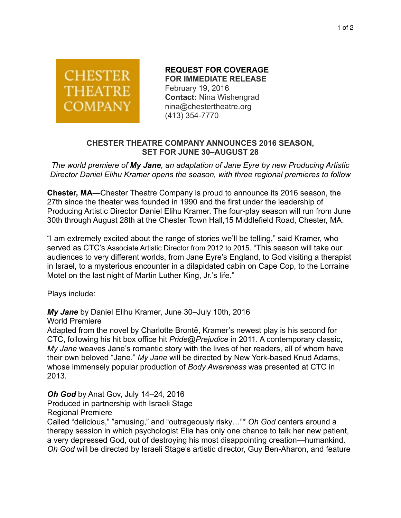

 **REQUEST FOR COVERAGE FOR IMMEDIATE RELEASE** February 19, 2016 **Contact:** Nina Wishengrad nina@chestertheatre.org (413) 354-7770

## **CHESTER THEATRE COMPANY ANNOUNCES 2016 SEASON, SET FOR JUNE 30–AUGUST 28**

*The world premiere of My Jane, an adaptation of Jane Eyre by new Producing Artistic Director Daniel Elihu Kramer opens the season, with three regional premieres to follow* 

**Chester, MA**—Chester Theatre Company is proud to announce its 2016 season, the 27th since the theater was founded in 1990 and the first under the leadership of Producing Artistic Director Daniel Elihu Kramer. The four-play season will run from June 30th through August 28th at the Chester Town Hall,15 Middlefield Road, Chester, MA.

"I am extremely excited about the range of stories we'll be telling," said Kramer, who served as CTC's Associate Artistic Director from 2012 to 2015. "This season will take our audiences to very different worlds, from Jane Eyre's England, to God visiting a therapist in Israel, to a mysterious encounter in a dilapidated cabin on Cape Cop, to the Lorraine Motel on the last night of Martin Luther King, Jr.'s life."

Plays include:

*My Jane* by Daniel Elihu Kramer, June 30–July 10th, 2016 World Premiere

Adapted from the novel by Charlotte Brontë, Kramer's newest play is his second for CTC, following his hit box office hit *Pride@Prejudice* in 2011. A contemporary classic, *My Jane* weaves Jane's romantic story with the lives of her readers, all of whom have their own beloved "Jane." *My Jane* will be directed by New York-based Knud Adams, whose immensely popular production of *Body Awareness* was presented at CTC in 2013.

*Oh God* by Anat Gov, July 14–24, 2016 Produced in partnership with Israeli Stage Regional Premiere

Called "delicious," "amusing," and "outrageously risky…"\* *Oh God* centers around a therapy session in which psychologist Ella has only one chance to talk her new patient, a very depressed God, out of destroying his most disappointing creation—humankind. *Oh God* will be directed by Israeli Stage's artistic director, Guy Ben-Aharon, and feature